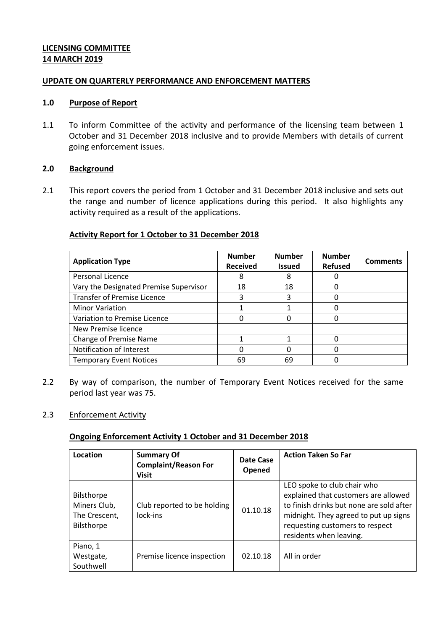### **LICENSING COMMITTEE 14 MARCH 2019**

### **UPDATE ON QUARTERLY PERFORMANCE AND ENFORCEMENT MATTERS**

### **1.0 Purpose of Report**

1.1 To inform Committee of the activity and performance of the licensing team between 1 October and 31 December 2018 inclusive and to provide Members with details of current going enforcement issues.

### **2.0 Background**

2.1 This report covers the period from 1 October and 31 December 2018 inclusive and sets out the range and number of licence applications during this period. It also highlights any activity required as a result of the applications.

## **Activity Report for 1 October to 31 December 2018**

| <b>Application Type</b>                | <b>Number</b><br><b>Received</b> | <b>Number</b><br><b>Issued</b> | <b>Number</b><br><b>Refused</b> | <b>Comments</b> |
|----------------------------------------|----------------------------------|--------------------------------|---------------------------------|-----------------|
| Personal Licence                       | 8                                | 8                              |                                 |                 |
| Vary the Designated Premise Supervisor | 18                               | 18                             |                                 |                 |
| <b>Transfer of Premise Licence</b>     |                                  |                                |                                 |                 |
| <b>Minor Variation</b>                 |                                  |                                |                                 |                 |
| Variation to Premise Licence           |                                  |                                |                                 |                 |
| New Premise licence                    |                                  |                                |                                 |                 |
| <b>Change of Premise Name</b>          |                                  |                                |                                 |                 |
| Notification of Interest               | 0                                |                                |                                 |                 |
| <b>Temporary Event Notices</b>         | 69                               | 69                             |                                 |                 |

2.2 By way of comparison, the number of Temporary Event Notices received for the same period last year was 75.

### 2.3 Enforcement Activity

### **Ongoing Enforcement Activity 1 October and 31 December 2018**

| Location                                                  | <b>Summary Of</b><br><b>Complaint/Reason For</b><br><b>Visit</b> | <b>Date Case</b><br>Opened | <b>Action Taken So Far</b>                                                                                                                                                                                             |
|-----------------------------------------------------------|------------------------------------------------------------------|----------------------------|------------------------------------------------------------------------------------------------------------------------------------------------------------------------------------------------------------------------|
| Bilsthorpe<br>Miners Club,<br>The Crescent,<br>Bilsthorpe | Club reported to be holding<br>lock-ins                          | 01.10.18                   | LEO spoke to club chair who<br>explained that customers are allowed<br>to finish drinks but none are sold after<br>midnight. They agreed to put up signs<br>requesting customers to respect<br>residents when leaving. |
| Piano, 1<br>Westgate,<br>Southwell                        | Premise licence inspection                                       | 02.10.18                   | All in order                                                                                                                                                                                                           |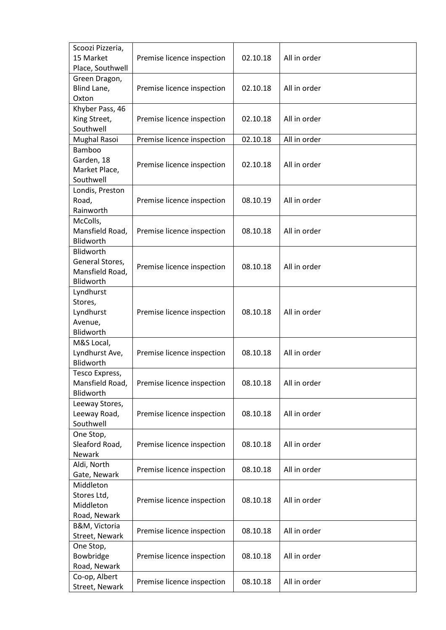| Scoozi Pizzeria,                  |                            |          |              |
|-----------------------------------|----------------------------|----------|--------------|
| 15 Market                         | Premise licence inspection | 02.10.18 | All in order |
| Place, Southwell                  |                            |          |              |
| Green Dragon,                     |                            |          |              |
| Blind Lane,                       | Premise licence inspection | 02.10.18 | All in order |
| Oxton                             |                            |          |              |
| Khyber Pass, 46                   |                            |          |              |
| King Street,                      | Premise licence inspection | 02.10.18 | All in order |
| Southwell                         |                            |          |              |
| Mughal Rasoi                      | Premise licence inspection | 02.10.18 | All in order |
| Bamboo                            |                            |          |              |
| Garden, 18                        | Premise licence inspection | 02.10.18 | All in order |
| Market Place,                     |                            |          |              |
| Southwell                         |                            |          |              |
| Londis, Preston                   |                            |          |              |
| Road,                             | Premise licence inspection | 08.10.19 | All in order |
| Rainworth                         |                            |          |              |
| McColls,                          |                            |          |              |
| Mansfield Road,                   | Premise licence inspection | 08.10.18 | All in order |
| Blidworth                         |                            |          |              |
| Blidworth                         |                            |          |              |
| General Stores,                   | Premise licence inspection | 08.10.18 | All in order |
| Mansfield Road,                   |                            |          |              |
| Blidworth                         |                            |          |              |
| Lyndhurst                         |                            |          |              |
| Stores,                           |                            |          |              |
| Lyndhurst                         | Premise licence inspection | 08.10.18 | All in order |
| Avenue,                           |                            |          |              |
| Blidworth                         |                            |          |              |
| M&S Local,                        |                            |          |              |
| Lyndhurst Ave,                    | Premise licence inspection | 08.10.18 | All in order |
| Blidworth                         |                            |          |              |
| Tesco Express,<br>Mansfield Road, | Premise licence inspection | 08.10.18 | All in order |
| Blidworth                         |                            |          |              |
| Leeway Stores,                    |                            |          |              |
| Leeway Road,                      | Premise licence inspection | 08.10.18 | All in order |
| Southwell                         |                            |          |              |
| One Stop,                         |                            |          |              |
| Sleaford Road,                    | Premise licence inspection | 08.10.18 | All in order |
| Newark                            |                            |          |              |
| Aldi, North                       |                            |          |              |
| Gate, Newark                      | Premise licence inspection | 08.10.18 | All in order |
| Middleton                         |                            |          |              |
| Stores Ltd,                       |                            |          |              |
| Middleton                         | Premise licence inspection | 08.10.18 | All in order |
| Road, Newark                      |                            |          |              |
| B&M, Victoria                     |                            |          |              |
| Street, Newark                    | Premise licence inspection | 08.10.18 | All in order |
| One Stop,                         |                            |          |              |
| Bowbridge                         | Premise licence inspection | 08.10.18 | All in order |
| Road, Newark                      |                            |          |              |
| Co-op, Albert                     |                            |          |              |
| Street, Newark                    | Premise licence inspection | 08.10.18 | All in order |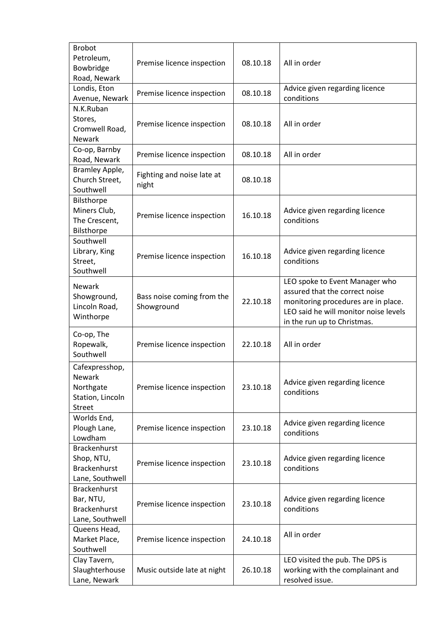| <b>Brobot</b><br>Petroleum,<br>Bowbridge<br>Road, Newark                    | Premise licence inspection               | 08.10.18 | All in order                                                                                                                                                                    |
|-----------------------------------------------------------------------------|------------------------------------------|----------|---------------------------------------------------------------------------------------------------------------------------------------------------------------------------------|
| Londis, Eton<br>Avenue, Newark                                              | Premise licence inspection               | 08.10.18 | Advice given regarding licence<br>conditions                                                                                                                                    |
| N.K.Ruban<br>Stores,<br>Cromwell Road,<br><b>Newark</b>                     | Premise licence inspection               | 08.10.18 | All in order                                                                                                                                                                    |
| Co-op, Barnby<br>Road, Newark                                               | Premise licence inspection               | 08.10.18 | All in order                                                                                                                                                                    |
| Bramley Apple,<br>Church Street,<br>Southwell                               | Fighting and noise late at<br>night      | 08.10.18 |                                                                                                                                                                                 |
| Bilsthorpe<br>Miners Club,<br>The Crescent,<br>Bilsthorpe                   | Premise licence inspection               | 16.10.18 | Advice given regarding licence<br>conditions                                                                                                                                    |
| Southwell<br>Library, King<br>Street,<br>Southwell                          | Premise licence inspection               | 16.10.18 | Advice given regarding licence<br>conditions                                                                                                                                    |
| <b>Newark</b><br>Showground,<br>Lincoln Road,<br>Winthorpe                  | Bass noise coming from the<br>Showground | 22.10.18 | LEO spoke to Event Manager who<br>assured that the correct noise<br>monitoring procedures are in place.<br>LEO said he will monitor noise levels<br>in the run up to Christmas. |
| Co-op, The<br>Ropewalk,<br>Southwell                                        | Premise licence inspection               | 22.10.18 | All in order                                                                                                                                                                    |
| Cafexpresshop,<br>Newark<br>Northgate<br>Station, Lincoln<br><b>Street</b>  | Premise licence inspection               | 23.10.18 | Advice given regarding licence<br>conditions                                                                                                                                    |
| Worlds End,<br>Plough Lane,<br>Lowdham                                      | Premise licence inspection               | 23.10.18 | Advice given regarding licence<br>conditions                                                                                                                                    |
| <b>Brackenhurst</b><br>Shop, NTU,<br><b>Brackenhurst</b><br>Lane, Southwell | Premise licence inspection               | 23.10.18 | Advice given regarding licence<br>conditions                                                                                                                                    |
| <b>Brackenhurst</b><br>Bar, NTU,<br><b>Brackenhurst</b><br>Lane, Southwell  | Premise licence inspection               | 23.10.18 | Advice given regarding licence<br>conditions                                                                                                                                    |
| Queens Head,<br>Market Place,<br>Southwell                                  | Premise licence inspection               | 24.10.18 | All in order                                                                                                                                                                    |
| Clay Tavern,<br>Slaughterhouse<br>Lane, Newark                              | Music outside late at night              | 26.10.18 | LEO visited the pub. The DPS is<br>working with the complainant and<br>resolved issue.                                                                                          |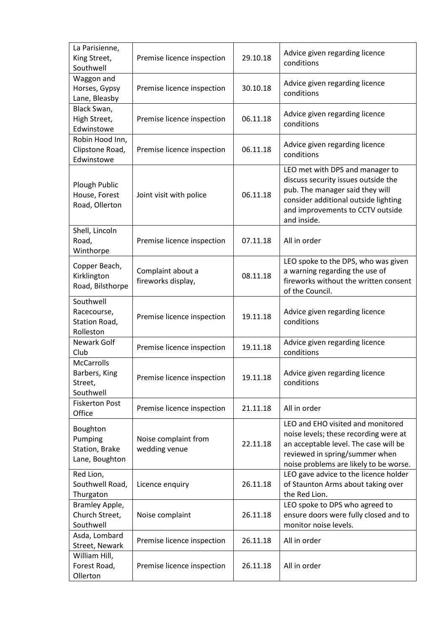| La Parisienne,<br>King Street,<br>Southwell                | Premise licence inspection              | 29.10.18 | Advice given regarding licence<br>conditions                                                                                                                                                         |
|------------------------------------------------------------|-----------------------------------------|----------|------------------------------------------------------------------------------------------------------------------------------------------------------------------------------------------------------|
| Waggon and<br>Horses, Gypsy<br>Lane, Bleasby               | Premise licence inspection              | 30.10.18 | Advice given regarding licence<br>conditions                                                                                                                                                         |
| Black Swan,<br>High Street,<br>Edwinstowe                  | Premise licence inspection              | 06.11.18 | Advice given regarding licence<br>conditions                                                                                                                                                         |
| Robin Hood Inn,<br>Clipstone Road,<br>Edwinstowe           | Premise licence inspection              | 06.11.18 | Advice given regarding licence<br>conditions                                                                                                                                                         |
| Plough Public<br>House, Forest<br>Road, Ollerton           | Joint visit with police                 | 06.11.18 | LEO met with DPS and manager to<br>discuss security issues outside the<br>pub. The manager said they will<br>consider additional outside lighting<br>and improvements to CCTV outside<br>and inside. |
| Shell, Lincoln<br>Road,<br>Winthorpe                       | Premise licence inspection              | 07.11.18 | All in order                                                                                                                                                                                         |
| Copper Beach,<br>Kirklington<br>Road, Bilsthorpe           | Complaint about a<br>fireworks display, | 08.11.18 | LEO spoke to the DPS, who was given<br>a warning regarding the use of<br>fireworks without the written consent<br>of the Council.                                                                    |
| Southwell<br>Racecourse,<br>Station Road,<br>Rolleston     | Premise licence inspection              | 19.11.18 | Advice given regarding licence<br>conditions                                                                                                                                                         |
| <b>Newark Golf</b><br>Club                                 | Premise licence inspection              | 19.11.18 | Advice given regarding licence<br>conditions                                                                                                                                                         |
| <b>McCarrolls</b><br>Barbers, King<br>Street,<br>Southwell | Premise licence inspection              | 19.11.18 | Advice given regarding licence<br>conditions                                                                                                                                                         |
| <b>Fiskerton Post</b><br>Office                            | Premise licence inspection              | 21.11.18 | All in order                                                                                                                                                                                         |
| Boughton<br>Pumping<br>Station, Brake<br>Lane, Boughton    | Noise complaint from<br>wedding venue   | 22.11.18 | LEO and EHO visited and monitored<br>noise levels; these recording were at<br>an acceptable level. The case will be<br>reviewed in spring/summer when<br>noise problems are likely to be worse.      |
| Red Lion,<br>Southwell Road,<br>Thurgaton                  | Licence enquiry                         | 26.11.18 | LEO gave advice to the licence holder<br>of Staunton Arms about taking over<br>the Red Lion.                                                                                                         |
| Bramley Apple,<br>Church Street,<br>Southwell              | Noise complaint                         | 26.11.18 | LEO spoke to DPS who agreed to<br>ensure doors were fully closed and to<br>monitor noise levels.                                                                                                     |
| Asda, Lombard<br>Street, Newark                            | Premise licence inspection              | 26.11.18 | All in order                                                                                                                                                                                         |
| William Hill,<br>Forest Road,<br>Ollerton                  | Premise licence inspection              | 26.11.18 | All in order                                                                                                                                                                                         |